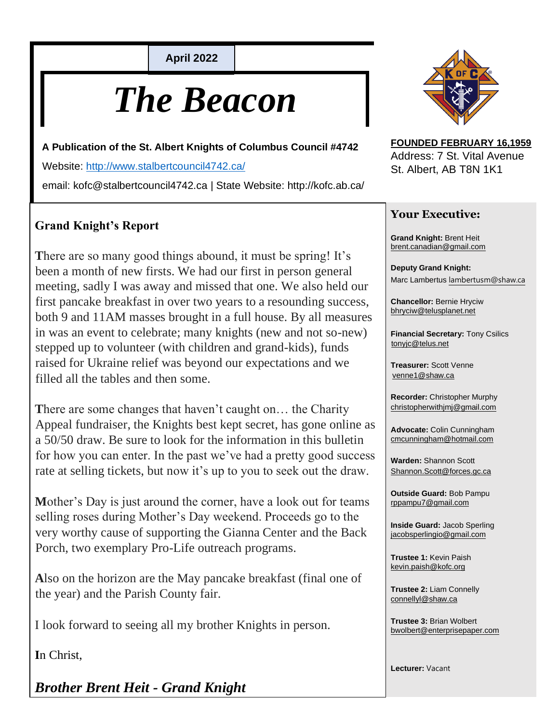**April 2022**

# *The Beacon*

**A Publication of the St. Albert Knights of Columbus Council #4742**

Website:<http://www.stalbertcouncil4742.ca/>

email: kofc@stalbertcouncil4742.ca | State Website: http://kofc.ab.ca/

#### **Grand Knight's Report**

**T**here are so many good things abound, it must be spring! It's been a month of new firsts. We had our first in person general meeting, sadly I was away and missed that one. We also held our first pancake breakfast in over two years to a resounding success, both 9 and 11AM masses brought in a full house. By all measures in was an event to celebrate; many knights (new and not so-new) stepped up to volunteer (with children and grand-kids), funds raised for Ukraine relief was beyond our expectations and we filled all the tables and then some.

There are some changes that haven't caught on... the Charity Appeal fundraiser, the Knights best kept secret, has gone online as a 50/50 draw. Be sure to look for the information in this bulletin for how you can enter. In the past we've had a pretty good success rate at selling tickets, but now it's up to you to seek out the draw.

**M**other's Day is just around the corner, have a look out for teams selling roses during Mother's Day weekend. Proceeds go to the very worthy cause of supporting the Gianna Center and the Back Porch, two exemplary Pro-Life outreach programs.

**A**lso on the horizon are the May pancake breakfast (final one of the year) and the Parish County fair.

I look forward to seeing all my brother Knights in person.

**I**n Christ,

*Brother Brent Heit - Grand Knight*



**FOUNDED FEBRUARY 16,1959** Address: 7 St. Vital Avenue St. Albert, AB T8N 1K1

#### **Your Executive:**

**Grand Knight:** Brent Heit brent.canadian@gmail.com

**Deputy Grand Knight:**  Marc Lambertus lambertusm@shaw.ca

**Chancellor:** Bernie Hryciw bhryciw@telusplanet.net

**Financial Secretary:** Tony Csilics tonyjc@telus.net

**Treasurer:** Scott Venne venne1@shaw.ca

**Recorder:** Christopher Murphy christopherwithjmj@gmail.com

**Advocate:** Colin Cunningham cmcunningham@hotmail.com

**Warden:** Shannon Scott Shannon.Scott@forces.gc.ca

**Outside Guard:** Bob Pampu rppampu7@gmail.com

**Inside Guard:** Jacob Sperling jacobsperlingio@gmail.com

**Trustee 1:** Kevin Paish kevin.paish@kofc.org

**Trustee 2:** Liam Connelly connellyl@shaw.ca

**Trustee 3:** Brian Wolbert bwolbert@enterprisepaper.com

**Lecturer:** Vacant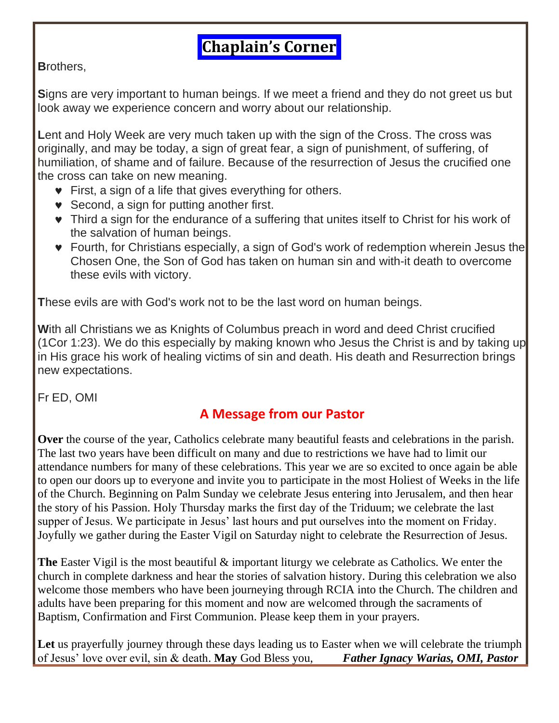## **Chaplain's Corner**

**B**rothers,

**S**igns are very important to human beings. If we meet a friend and they do not greet us but look away we experience concern and worry about our relationship.

**L**ent and Holy Week are very much taken up with the sign of the Cross. The cross was originally, and may be today, a sign of great fear, a sign of punishment, of suffering, of humiliation, of shame and of failure. Because of the resurrection of Jesus the crucified one the cross can take on new meaning.

- **•** First, a sign of a life that gives everything for others.
- Second, a sign for putting another first.
- Third a sign for the endurance of a suffering that unites itself to Christ for his work of the salvation of human beings.
- Fourth, for Christians especially, a sign of God's work of redemption wherein Jesus the Chosen One, the Son of God has taken on human sin and with-it death to overcome these evils with victory.

**T**hese evils are with God's work not to be the last word on human beings.

**W**ith all Christians we as Knights of Columbus preach in word and deed Christ crucified (1Cor 1:23). We do this especially by making known who Jesus the Christ is and by taking up in His grace his work of healing victims of sin and death. His death and Resurrection brings new expectations.

Fr ED, OMI

#### **A Message from our Pastor**

**Over** the course of the year, Catholics celebrate many beautiful feasts and celebrations in the parish. The last two years have been difficult on many and due to restrictions we have had to limit our attendance numbers for many of these celebrations. This year we are so excited to once again be able to open our doors up to everyone and invite you to participate in the most Holiest of Weeks in the life of the Church. Beginning on Palm Sunday we celebrate Jesus entering into Jerusalem, and then hear the story of his Passion. Holy Thursday marks the first day of the Triduum; we celebrate the last supper of Jesus. We participate in Jesus' last hours and put ourselves into the moment on Friday. Joyfully we gather during the Easter Vigil on Saturday night to celebrate the Resurrection of Jesus.

**The** Easter Vigil is the most beautiful & important liturgy we celebrate as Catholics. We enter the church in complete darkness and hear the stories of salvation history. During this celebration we also welcome those members who have been journeying through RCIA into the Church. The children and adults have been preparing for this moment and now are welcomed through the sacraments of Baptism, Confirmation and First Communion. Please keep them in your prayers.

Let us prayerfully journey through these days leading us to Easter when we will celebrate the triumph of Jesus' love over evil, sin & death. **May** God Bless you, *Father Ignacy Warias, OMI, Pastor*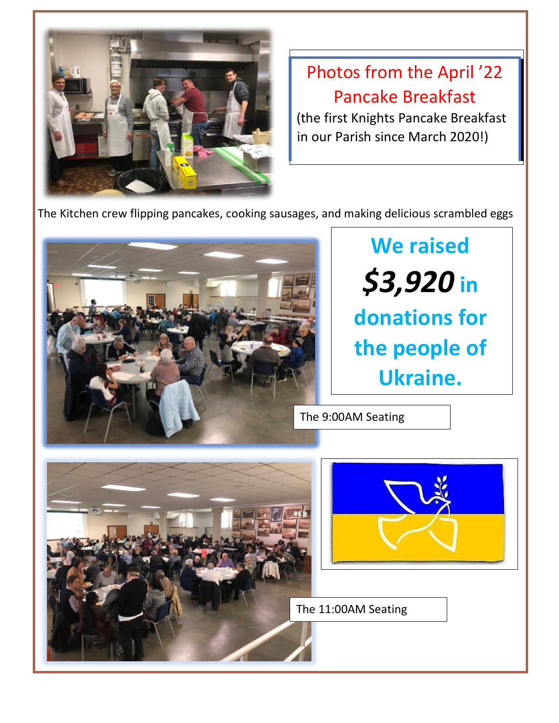

Photos from the April '22 Pancake Breakfast

(the first Knights Pancake Breakfast in our Parish since March 2020!)

The Kitchen crew flipping pancakes, cooking sausages, and making delicious scrambled eggs

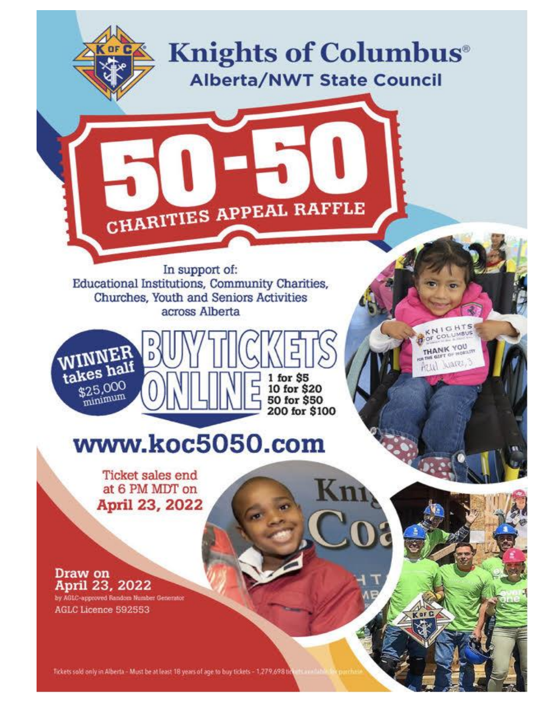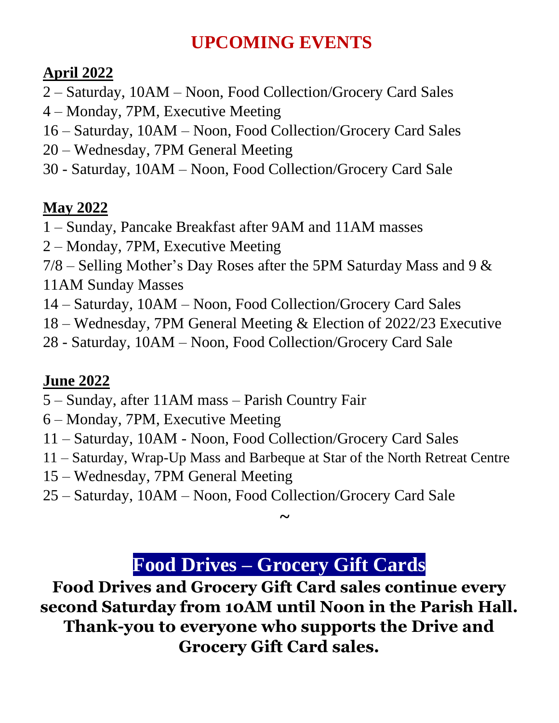# **UPCOMING EVENTS**

### **April 2022**

- 2 Saturday, 10AM Noon, Food Collection/Grocery Card Sales
- 4 Monday, 7PM, Executive Meeting
- 16 Saturday, 10AM Noon, Food Collection/Grocery Card Sales
- 20 Wednesday, 7PM General Meeting
- 30 Saturday, 10AM Noon, Food Collection/Grocery Card Sale

### **May 2022**

- 1 Sunday, Pancake Breakfast after 9AM and 11AM masses
- 2 Monday, 7PM, Executive Meeting
- $7/8$  Selling Mother's Day Roses after the 5PM Saturday Mass and 9  $\&$
- 11AM Sunday Masses
- 14 Saturday, 10AM Noon, Food Collection/Grocery Card Sales
- 18 Wednesday, 7PM General Meeting & Election of 2022/23 Executive
- 28 Saturday, 10AM Noon, Food Collection/Grocery Card Sale

### **June 2022**

- 5 Sunday, after 11AM mass Parish Country Fair
- 6 Monday, 7PM, Executive Meeting
- 11 Saturday, 10AM Noon, Food Collection/Grocery Card Sales
- 11 Saturday, Wrap-Up Mass and Barbeque at Star of the North Retreat Centre
- 15 Wednesday, 7PM General Meeting
- 25 Saturday, 10AM Noon, Food Collection/Grocery Card Sale

## **Food Drives – Grocery Gift Cards**

**~**

**Food Drives and Grocery Gift Card sales continue every second Saturday from 10AM until Noon in the Parish Hall. Thank-you to everyone who supports the Drive and Grocery Gift Card sales.**